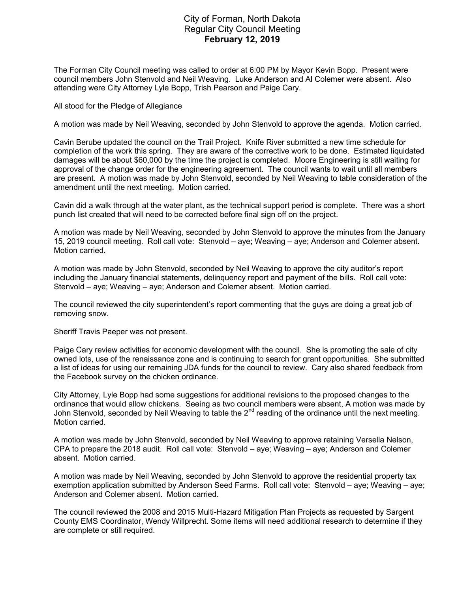## City of Forman, North Dakota Regular City Council Meeting February 12, 2019

The Forman City Council meeting was called to order at 6:00 PM by Mayor Kevin Bopp. Present were council members John Stenvold and Neil Weaving. Luke Anderson and Al Colemer were absent. Also attending were City Attorney Lyle Bopp, Trish Pearson and Paige Cary.

All stood for the Pledge of Allegiance

A motion was made by Neil Weaving, seconded by John Stenvold to approve the agenda. Motion carried.

Cavin Berube updated the council on the Trail Project. Knife River submitted a new time schedule for completion of the work this spring. They are aware of the corrective work to be done. Estimated liquidated damages will be about \$60,000 by the time the project is completed. Moore Engineering is still waiting for approval of the change order for the engineering agreement. The council wants to wait until all members are present. A motion was made by John Stenvold, seconded by Neil Weaving to table consideration of the amendment until the next meeting. Motion carried.

Cavin did a walk through at the water plant, as the technical support period is complete. There was a short punch list created that will need to be corrected before final sign off on the project.

A motion was made by Neil Weaving, seconded by John Stenvold to approve the minutes from the January 15, 2019 council meeting. Roll call vote: Stenvold – aye; Weaving – aye; Anderson and Colemer absent. Motion carried.

A motion was made by John Stenvold, seconded by Neil Weaving to approve the city auditor's report including the January financial statements, delinquency report and payment of the bills. Roll call vote: Stenvold – aye; Weaving – aye; Anderson and Colemer absent. Motion carried.

The council reviewed the city superintendent's report commenting that the guys are doing a great job of removing snow.

Sheriff Travis Paeper was not present.

Paige Cary review activities for economic development with the council. She is promoting the sale of city owned lots, use of the renaissance zone and is continuing to search for grant opportunities. She submitted a list of ideas for using our remaining JDA funds for the council to review. Cary also shared feedback from the Facebook survey on the chicken ordinance.

City Attorney, Lyle Bopp had some suggestions for additional revisions to the proposed changes to the ordinance that would allow chickens. Seeing as two council members were absent, A motion was made by John Stenvold, seconded by Neil Weaving to table the 2<sup>nd</sup> reading of the ordinance until the next meeting. Motion carried.

A motion was made by John Stenvold, seconded by Neil Weaving to approve retaining Versella Nelson, CPA to prepare the 2018 audit. Roll call vote: Stenvold – aye; Weaving – aye; Anderson and Colemer absent. Motion carried.

A motion was made by Neil Weaving, seconded by John Stenvold to approve the residential property tax exemption application submitted by Anderson Seed Farms. Roll call vote: Stenvold – aye; Weaving – aye; Anderson and Colemer absent. Motion carried.

The council reviewed the 2008 and 2015 Multi-Hazard Mitigation Plan Projects as requested by Sargent County EMS Coordinator, Wendy Willprecht. Some items will need additional research to determine if they are complete or still required.